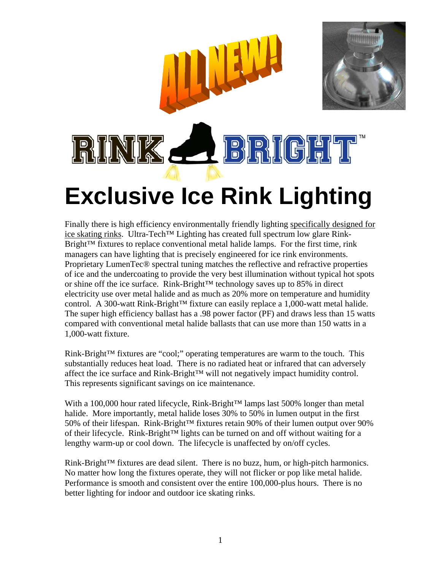

Finally there is high efficiency environmentally friendly lighting specifically designed for ice skating rinks. Ultra-Tech™ Lighting has created full spectrum low glare Rink- $Bright<sup>TM</sup>$  fixtures to replace conventional metal halide lamps. For the first time, rink managers can have lighting that is precisely engineered for ice rink environments. Proprietary LumenTec® spectral tuning matches the reflective and refractive properties of ice and the undercoating to provide the very best illumination without typical hot spots or shine off the ice surface. Rink-Bright™ technology saves up to 85% in direct electricity use over metal halide and as much as 20% more on temperature and humidity control. A 300-watt Rink-Bright<sup>™</sup> fixture can easily replace a 1,000-watt metal halide. The super high efficiency ballast has a .98 power factor (PF) and draws less than 15 watts compared with conventional metal halide ballasts that can use more than 150 watts in a 1,000-watt fixture.

Rink-Bright™ fixtures are "cool;" operating temperatures are warm to the touch. This substantially reduces heat load. There is no radiated heat or infrared that can adversely affect the ice surface and Rink-Bright™ will not negatively impact humidity control. This represents significant savings on ice maintenance.

With a 100,000 hour rated lifecycle, Rink-Bright™ lamps last 500% longer than metal halide. More importantly, metal halide loses 30% to 50% in lumen output in the first 50% of their lifespan. Rink-Bright<sup>™</sup> fixtures retain 90% of their lumen output over 90% of their lifecycle. Rink-Bright™ lights can be turned on and off without waiting for a lengthy warm-up or cool down. The lifecycle is unaffected by on/off cycles.

Rink-Bright™ fixtures are dead silent. There is no buzz, hum, or high-pitch harmonics. No matter how long the fixtures operate, they will not flicker or pop like metal halide. Performance is smooth and consistent over the entire 100,000-plus hours. There is no better lighting for indoor and outdoor ice skating rinks.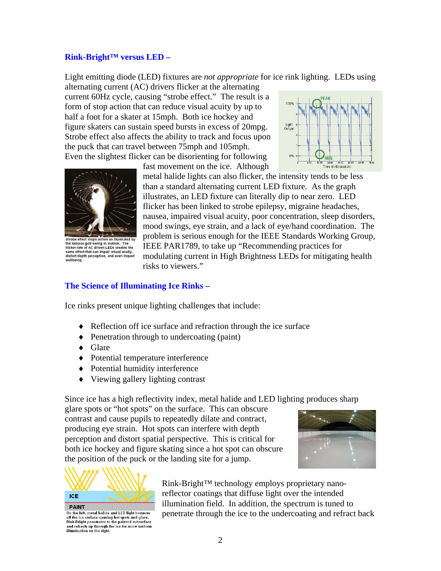## **Rink-Bright™ versus LED –**

Light emitting diode (LED) fixtures are *not appropriate* for ice rink lighting. LEDs using

alternating current (AC) drivers flicker at the alternating current 60Hz cycle, causing "strobe effect." The result is a form of stop action that can reduce visual acuity by up to half a foot for a skater at 15mph. Both ice hockey and figure skaters can sustain speed bursts in excess of 20mpg. Strobe effect also affects the ability to track and focus upon the puck that can travel between 75mph and 105mph. Even the slightest flicker can be disorienting for following





structure in motion. The<br>filcker rate of AC driven LEDs creates the<br>same effect that can impair visual acuity, distort depth perception, and even impact

fast movement on the ice. Although

metal halide lights can also flicker, the intensity tends to be less than a standard alternating current LED fixture. As the graph illustrates, an LED fixture can literally dip to near zero. LED flicker has been linked to strobe epilepsy, migraine headaches, nausea, impaired visual acuity, poor concentration, sleep disorders, mood swings, eye strain, and a lack of eye/hand coordination. The problem is serious enough for the IEEE Standards Working Group, IEEE PAR1789, to take up "Recommending practices for modulating current in High Brightness LEDs for mitigating health risks to viewers."

## **The Science of Illuminating Ice Rinks –**

Ice rinks present unique lighting challenges that include:

- ♦ Reflection off ice surface and refraction through the ice surface
- ♦ Penetration through to undercoating (paint)
- ♦ Glare
- ♦ Potential temperature interference
- ♦ Potential humidity interference
- ♦ Viewing gallery lighting contrast

Since ice has a high reflectivity index, metal halide and LED lighting produces sharp

glare spots or "hot spots" on the surface. This can obscure contrast and cause pupils to repeatedly dilate and contract, producing eye strain. Hot spots can interfere with depth perception and distort spatial perspective. This is critical for both ice hockey and figure skating since a hot spot can obscure the position of the puck or the landing site for a jump.





On the left, metal halide and LED light bounces off the ice surface causing hot spots and glare.<br>Rink-Bright penetrates to the painted subsurface and refracts up through the ice for more uniform<br>illumination on the right.

Rink-Bright™ technology employs proprietary nanoreflector coatings that diffuse light over the intended illumination field. In addition, the spectrum is tuned to penetrate through the ice to the undercoating and refract back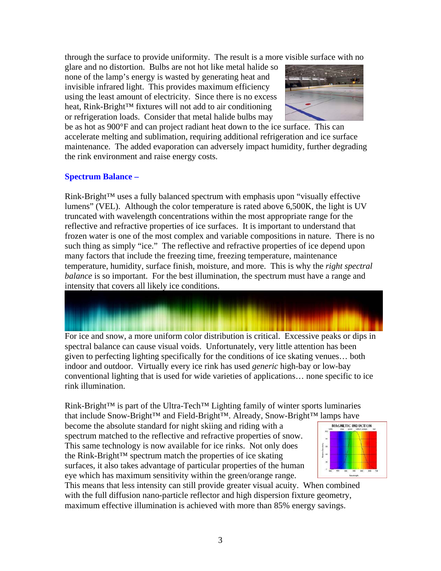through the surface to provide uniformity. The result is a more visible surface with no

glare and no distortion. Bulbs are not hot like metal halide so none of the lamp's energy is wasted by generating heat and invisible infrared light. This provides maximum efficiency using the least amount of electricity. Since there is no excess heat, Rink-Bright™ fixtures will not add to air conditioning or refrigeration loads. Consider that metal halide bulbs may



be as hot as 900°F and can project radiant heat down to the ice surface. This can accelerate melting and sublimation, requiring additional refrigeration and ice surface maintenance. The added evaporation can adversely impact humidity, further degrading the rink environment and raise energy costs.

## **Spectrum Balance –**

Rink-Bright™ uses a fully balanced spectrum with emphasis upon "visually effective lumens" (VEL). Although the color temperature is rated above 6,500K, the light is UV truncated with wavelength concentrations within the most appropriate range for the reflective and refractive properties of ice surfaces. It is important to understand that frozen water is one of the most complex and variable compositions in nature. There is no such thing as simply "ice." The reflective and refractive properties of ice depend upon many factors that include the freezing time, freezing temperature, maintenance temperature, humidity, surface finish, moisture, and more. This is why the *right spectral balance* is so important. For the best illumination, the spectrum must have a range and intensity that covers all likely ice conditions.

For ice and snow, a more uniform color distribution is critical. Excessive peaks or dips in spectral balance can cause visual voids. Unfortunately, very little attention has been given to perfecting lighting specifically for the conditions of ice skating venues… both

indoor and outdoor. Virtually every ice rink has used *generic* high-bay or low-bay conventional lighting that is used for wide varieties of applications… none specific to ice rink illumination.

Rink-Bright™ is part of the Ultra-Tech™ Lighting family of winter sports luminaries that include Snow-Bright™ and Field-Bright™. Already, Snow-Bright™ lamps have

become the absolute standard for night skiing and riding with a spectrum matched to the reflective and refractive properties of snow. This same technology is now available for ice rinks. Not only does the Rink-Bright™ spectrum match the properties of ice skating surfaces, it also takes advantage of particular properties of the human eye which has maximum sensitivity within the green/orange range.



This means that less intensity can still provide greater visual acuity. When combined with the full diffusion nano-particle reflector and high dispersion fixture geometry, maximum effective illumination is achieved with more than 85% energy savings.